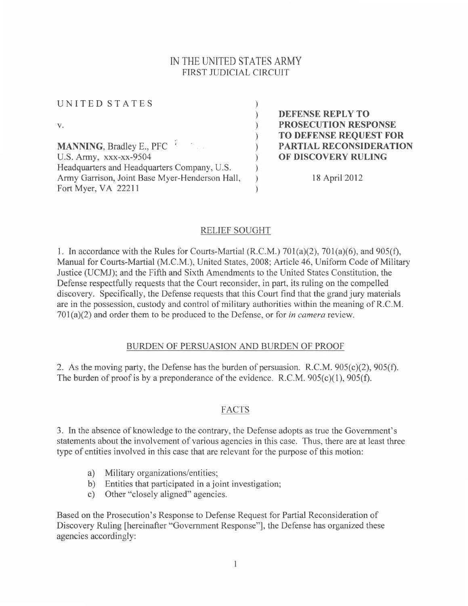## IN THE UNITED STATES ARMY FIRST JUDICIAL CIRCUIT

UNITED STATES  $V_{\star}$  $\lambda$ MANNING, Bradley E., PFC  $\tilde{ }$ U.S. Army, xxx-xx-9504 Headquarters and Headquarters Company, U.S. Army Garrison, Joint Base Myer-Henderson Hall, Fort Myer, VA 22211

DEFENSE REPLY TO PROSECUTION RESPONSE TO DEFENSE REQUEST FOR PARTIAL RECONSIDERATION OF DISCOVERY RULING

l8 April2012

## RELIEF SOUGHT

l. In accordance with the Rules for Courts-Martial (R.C.M.) 701(a)(2),701(a)(6), and 905(f), Manual for Courts-Martial (M.C.M.), United States, 2008; Article 46, Uniform Code of Military Justice (UCMJ); and the Fifth and Sixth Amendments to the United States Constitution, the Defense respectfully requests that the Court reconsider, in part, its ruling on the compelled discovery. Specifically, the Defense requests that this Court find that the grand jury materials are in the possession, custody and control of military authorities within the meaning of R.C.M.  $701(a)(2)$  and order them to be produced to the Defense, or for in camera review.

## BURDEN OF PERSUASION AND BURDEN OF PROOF

2. As the moving party, the Defense has the burden of persuasion. R.C.M. 905(c)(2), 905(f). The burden of proof is by a preponderance of the evidence. R.C.M.  $905(c)(1)$ ,  $905(f)$ .

## FACTS

3. In the absence of knowledge to the contrary, the Defense adopts as true the Government's statements about the involvement of various agencies in this case. Thus, there are at least three type of entities involved in this case that are relevant for the purpose of this motion:

- a) Military organizations/entities;
- b) Entities that participated in a joint investigation;
- c) Other "closely aligned" agencies.

Based on the Prosecution's Response to Defense Request for Partial Reconsideration of Discovery Ruling [hereinafter "Government Response"], the Defense has organized these agencies accordingly: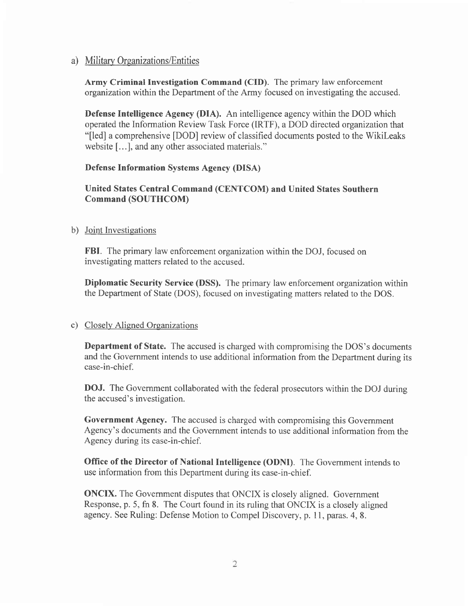## a) Military Organizations/Entities

Army Criminal Investigation Command (CID). The primary law enforcement organization within the Department of the Army focused on investigating the accused.

Defense Intelligence Agency (DIA). An intelligence agency within the DOD which operated the Information Review Task Force (IRTF), a DOD directed organization that "[ed] a comprehensive [DOD] review of classified documents posted to the Wikileaks website [...], and any other associated materials."

### Defense Information Systems Agency (DISA)

## United States Central Command (CENTCOM) and United States Southern Command (SOUTHCOM)

#### b) Joint Investigations

FBI. The primary law enforcement organization within the DOJ, focused on investigating matters related to the accused.

Diplomatic Security Service (DSS). The primary law enforcement organization within the Department of State (DOS), focused on investigating matters related to the DOS.

#### c) Closely Aliened Oreanizations

Department of State. The accused is charged with compromising the DOS's documents and the Government intends to use additional information from the Department during its case-in-chief.

DOJ. The Government collaborated with the federal prosecutors within the DOJ during the accused's investigation.

Government Agency. The accused is charged with compromising this Government Agency's documents and the Government intends to use additional information from the Agency during its case-in-chief.

Office of the Director of National Intelligence (ODNI). The Govemment intends to use information from this Department during its case-in-chief.

ONCIX. The Government disputes that ONCIX is closely aligned. Government Response, p. 5, fn 8. The Court found in its ruling that ONCIX is a closely aligned agency. See Ruling: Defense Motion to Compel Discovery, p. I l, paras. 4, 8.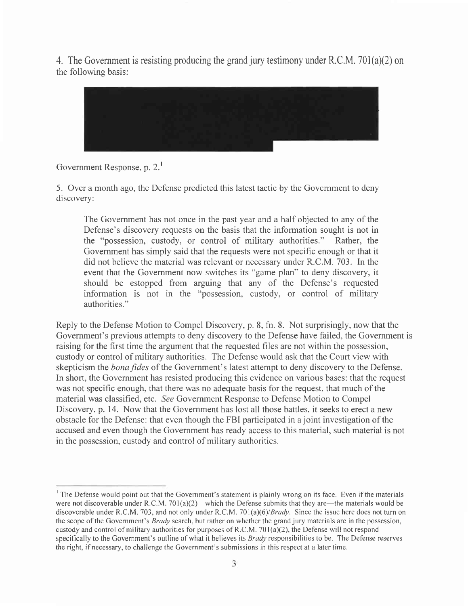4. The Government is resisting producing the grand jury testimony under R.C.M. 701(a)(2) on the following basis:



# Government Response, p. 2.

5. Over a month ago, the Defense predicted this latest tactic by the Government to deny discovery:

The Government has not once in the past year and a half objected to any of the Defense's discovery requests on the basis that the information sought is not in the "possession, custody, or control of military authorities." Rather, the Govemment has simply said that the requests were not specific enough or that it did not believe the material was relevant or necessary under R.C.M. 703. In the event that the Govemment now switches its "game plan" to deny discovery, it should be estopped from arguing that any of the Defense's requested information is not in the "possession, custody, or control of military authorities."

Reply to the Defense Motion to Compel Discovery, p. 8, fn. 8. Not surprisingly, now that the Government's previous attempts to deny discovery to the Defense have failed, the Government is raising for the first time the argument that the requested files are not within the possession, custody or control of military authorities. The Defense would ask that the Court view with skepticism the *bona fides* of the Government's latest attempt to deny discovery to the Defense. In short, the Government has resisted producing this evidence on various bases: that the request was not specific enough, that there was no adequate basis for the request, that much of the material was classified, etc. See Government Response to Defense Motion to Compel Discovery, p. 14. Now that the Government has lost all those battles, it seeks to erect a new obstacle for the Defense: that even though the FBI participated in a joint investigation of the accused and even though the Government has ready access to this material, such material is not in the possession, custody and control of military authorities.

<sup>&#</sup>x27; The Defense would point out that the Government's statement is plainly wrong on its face. Even if the materials were not discoverable under R.C.M. 701(a)(2)—which the Defense submits that they are—the materials would be discoverable under R.C.M. 703, and not only under R.C.M. 701(a)(6)/*Brady*. Since the issue here does not turn on the scope of the Government's Brady search, but rather on whether the grand jury materials are in the possession, custody and control of military authorities for purposes of R.C.M. 701(a)(2), the Defense will not respond specifically to the Government's outline of what it believes its Brady responsibilities to be. The Defense reserves the right, if necessary, to challenge the Government's submissions in this respect at a later time.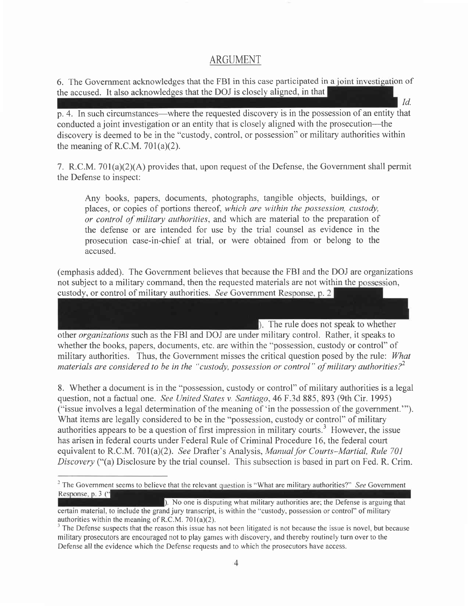## ARGUMENT

6. The Government acknowledges that the FBI in this case participated in a joint investigation of the accused. It also acknowledges that the DOJ is closely aligned, in that Id.

p. 4. In such circumstances—where the requested discovery is in the possession of an entity that conducted a joint investigation or an entity that is closely aligned with the prosecution--- the discovery is deemed to be in the "custody, control, or possession" or military authorities within the meaning of R.C.M.  $701(a)(2)$ .

7. R.C.M. 701(a)(2)(A) provides that, upon request of the Defense, the Government shall permit the Defense to inspect:

Any books, papers, documents, photographs, tangible objects, buildings, or places, or copies of portions thereof, which are within the possession, custody, or control of military authorities, and which are material to the preparation of the defense or are intended for use by the trial counsel as evidence in the prosecution case-in-chief at trial, or were obtained from or belong to the accused.

(emphasis added). The Government believes that because the FBI and the DOJ are organizations not subject to a military command, then the requested materials are not within the possession, custody, or control of military authorities. See Government Response, p. 2

 $\blacksquare$ ). The rule does not speak to whether other organizations such as the FBI and DOJ are under military control. Rather, it speaks to whether the books, papers, documents, etc. are within the "possession, custody or control" of military authorities. Thus, the Government misses the critical question posed by the rule: What materials are considered to be in the "custody, possession or control" of military authorities?<sup>2</sup>

8. Whether a document is in the "possession, custody or control" of military authorities is a legal question, not a factual one. See United States v. Santiago, 46 F.3d 885, 893 (9th Cir. 1995) ("issue involves a legal determination of the meaning of 'in the possession of the government.""). What items are legally considered to be in the "possession, custody or control" of military authorities appears to be a question of first impression in military courts.' However, the issue has arisen in federal courts under Federal Rule of Criminal Procedure 16, the federal court equivalent to R.C.M. 701(a)(2). See Drafter's Analysis, *Manual for Courts–Martial, Rule 701* Discovery ("(a) Disclosure by the trial counsel. This subsection is based in part on Fed. R. Crim.

<sup>&</sup>lt;sup>2</sup> The Government seems to believe that the relevant question is "What are military authorities?" See Government Response, p. 3 ("

No one is disputing what military authorities are; the Defense is arguing thal ceftain material, to include the grand jury transcript, is within the "custody, possession or control" of military authorities within the meaning of R.C.M.  $701(a)(2)$ .

 $3$  The Defense suspects that the reason this issue has not been litigated is not because the issue is novel, but because military prosecutors are encouraged not to play games with discovery, and thereby routinely turn over to the Defense all the evidence which the Defense requests and to which the prosecutors have access.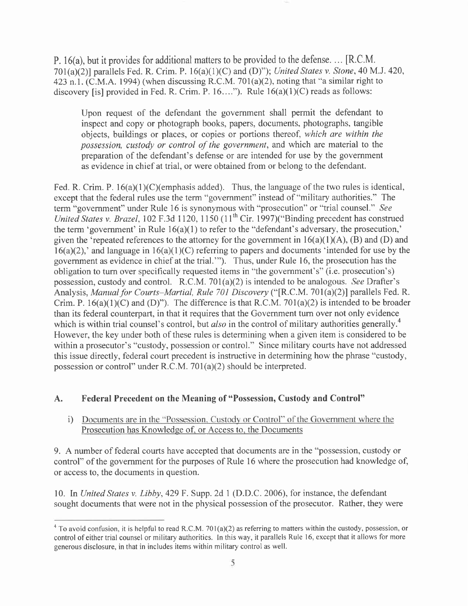P. 16(a), but it provides for additional matters to be provided to the defense. ... [R.C.M. 701(a)(2)] parallels Fed. R. Crim. P. 16(a)(1)(C) and (D)"); United States v. Stone, 40 M.J. 420, 423 n.l. (C.M.A. 1994) (when discussing R.C.M. 701(a)(2), noting that "a similar right to discovery [is] provided in Fed. R. Crim. P.  $16...$ "). Rule  $16(a)(1)(C)$  reads as follows:

Upon request of the defendant the government shall permit the defendant to inspect and copy or photograph books, papers, documents, photographs, tangible objects, buildings or places, or copies or portions thereof, which are within the possession, custody or control of the government, and which are material to the preparation of the defendant's defense or are intended for use by the government as evidence in chief at trial, or were obtained from or belong to the defendant.

Fed. R. Crim. P. 16(a)(1)(C)(emphasis added). Thus, the language of the two rules is identical, except that the federal rules use the term "government" instead of "military authorities." The term "government" under Rule 16 is synonymous with "prosecution" or "trial counsel." See United States v. Brazel, 102 F.3d 1120, 1150 (11<sup>th</sup> Cir. 1997)("Binding precedent has construed the term 'government' in Rule  $16(a)(1)$  to refer to the "defendant's adversary, the prosecution," given the 'repeated references to the attorney for the government in  $16(a)(1)(A)$ , (B) and (D) and  $16(a)(2)$ ,' and language in  $16(a)(1)(C)$  referring to papers and documents 'intended for use by the government as evidence in chief at the trial."'). Thus, under Rule 16, the prosecution has the obligation to turn over specifically requested items in "the government's" (i.e. prosecution's) possession, custody and control. R.C.M. 701(a)(2) is intended to be analogous. See Drafter's Analysis, Manual for Courts-Martial, Rule 701 Discovery ("[R.C.M. 701(a)(2)] parallels Fed. R. Crim. P.  $16(a)(1)(C)$  and  $(D)$ "). The difference is that R.C.M. 701(a)(2) is intended to be broader than its federal counterpart, in that it requires that the Government turn over not only evidence which is within trial counsel's control, but *also* in the control of military authorities generally.<sup>4</sup> However, the key under both of these rules is determining when a given item is considered to be within a prosecutor's "custody, possession or control." Since military courts have not addressed this issue directly, federal court precedent is instructive in determining how the phrase "custody, possession or control" under R.C.M. 70I(a)(2) should be interpreted.

## A. Federal Precedent on the Meaning of "Possession, Custody and Control"

### i) Documents are in the "Possession, Custody or Control" of the Government where the Prosecution has Knowledge of. or Access to. the Documents

9. A number of federal courts have accepted that documents are in the "possession, custody or control" of the government for the purposes of Rule 16 where the prosecution had knowledge of, or access to, the documents in question.

10. In United States v. Libby, 429 F. Supp. 2d 1 (D.D.C. 2006), for instance, the defendant sought documents that were not in the physical possession of the prosecutor. Rather, they were

<sup>&</sup>lt;sup>4</sup> To avoid confusion, it is helpful to read R.C.M. 701(a)(2) as referring to matters within the custody, possession, or control of either trial counsel or military authorities. In this way, it parallels Rule 16, except that it allows for more generous disclosure, in that in includes items within military control as well.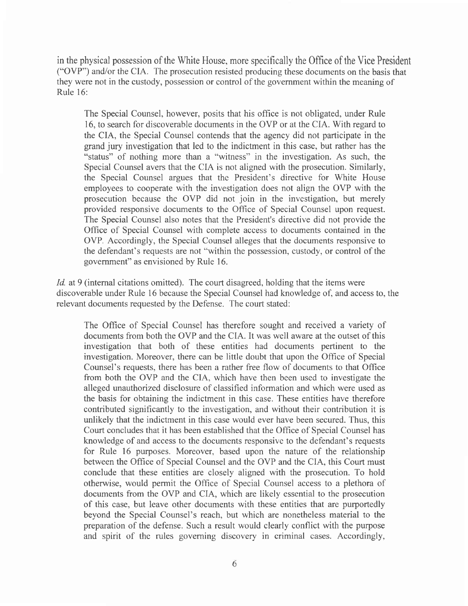in the physical possession of the White House, more specifically the Office of the Vice President ("OVP") andlor the CIA. The prosecution resisted producing these documents on the basis that they were not in the custody, possession or control of the government within the meaning of Rule l6:

The Special Counsel, however, posits that his office is not obligated, under Rule 16, to search for discoverable documents in the OVP or at the CIA. With regard to the CIA, the Special Counsel contends that the agency did not participate in the grand jury investigation that led to the indictment in this case, but rather has the "status" of nothing more than a "witness" in the investigation. As such, the Special Counsel avers that the CIA is not aligned with the prosecution. Similarly, the Special Counsel argues that the President's directive for White House employees to cooperate with the investigation does not align the OVP with the prosecution because the OVP did not join in the investigation, but merely provided responsive documents to the Office of Special Counsel upon request. The Special Counsel also notes that the President's directive did not provide the Offrce of Special Counsel with complete access to documents contained in the OVP. Accordingly, the Special Counsel alleges that the documents responsive to the defendant's requests are not "within the possession, custody, or control of the government" as envisioned by Rule 16.

Id. at 9 (internal citations omitted). The court disagreed, holding that the items were discoverable under Rule 16 because the Special Counsel had knowledge of, and access to, the relevant documents requested by the Defense. The court stated:

The Office of Special Counsel has therefore sought and received a variety of documents from both the OVP and the CIA. It was well aware at the outset of this investigation that both of these entities had documents pertinent to the investigation. Moreover, there can be little doubt that upon the Office of Special Counsel's requests, there has been a rather free flow of documents to that Office from both the OVP and the CIA, which have then been used to investigate the alleged unauthorized disclosure of classified information and which were used as the basis for obtaining the indictment in this case. These entities have therefore contributed significantly to the investigation, and without their contribution it is unlikely that the indictment in this case would ever have been secured. Thus, this Court concludes that it has been established that the Office of Special Counsel has knowledge of and access to the documents responsive to the defendant's requests for Rule 16 purposes. Moreover, based upon the nature of the relationship between the Office of Special Counsel and the OVP and the CIA, this Court must conclude that these entities are closely aligned with the prosecution. To hold otherwise, would permit the Office of Special Counsel access to a plethora of documents from the OVP and CIA, which are likely essential to the prosecution of this case, but leave other documents with these entities that are purportedly beyond the Special Counsel's reach, but which are nonetheless material to the preparation of the defense. Such a result would clearly conflict with the purpose and spirit of the rules governing discovery in criminal cases. Accordingly,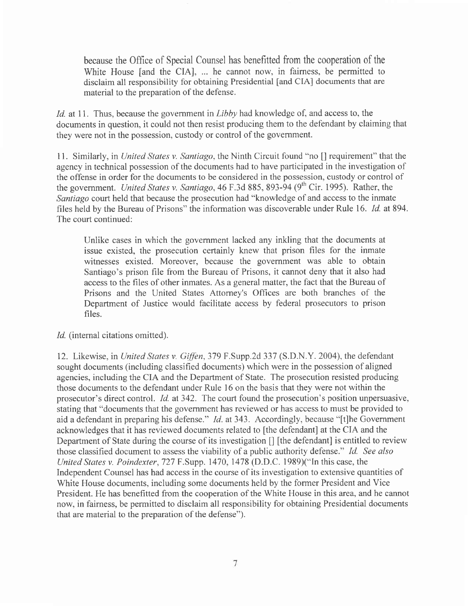because the Office of Special Counsel has benefitted fiom the cooperation of the White House [and the CIA], ... he cannot now, in fairness, be permitted to disclaim all responsibility for obtaining Presidential [and CIA] documents that are material to the preparation of the defense.

Id. at 11. Thus, because the government in Libby had knowledge of, and access to, the documents in question, it could not then resist producing them to the defendant by claiming that they were not in the possession, custody or control of the govemment.

<sup>1</sup>1. Similarly, in United States v. Santiago, the Ninth Circuit found "no [] requirement" that the agency in technical possession of the documents had to have participated in the investigation of the offense in order for the documents to be considered in the possession, custody or control of the government. United States v. Santiago, 46 F.3d 885, 893-94 (9<sup>th</sup> Cir. 1995). Rather, the Santiago court held that because the prosecution had "knowledge of and access to the inmate files held by the Bureau of Prisons" the information was discoverable under Rule 16. *Id.* at 894. The court continued:

Unlike cases in which the government lacked any inkling that the documents at issue existed, the prosecution certainly knew that prison files for the inmate witnesses existed. Moreover, because the government was able to obtain Santiago's prison file from the Bureau of Prisons, it cannot deny that it also had access to the files of other inmates. As a general matter, the fact that the Bureau of Prisons and the United States Attorney's Offices are both branches of the Department of Justice would facilitate access by federal prosecutors to prison files.

Id. (internal citations omitted).

12. Likewise, in United States v. Giffen, 379 F.Supp.2d 337 (S.D.N.Y. 2004), the defendant sought documents (including classified documents) which were in the possession of aligned agencies, including the CIA and the Department of State. The prosecution resisted producing those documents to the defendant under Rule l6 on the basis that they were not within the prosecutor's direct control. *Id.* at 342. The court found the prosecution's position unpersuasive, stating that "documents that the government has reviewed or has access to must be provided to aid a defendant in preparing his defense."  $Id$ . at 343. Accordingly, because "[t]he Government acknowledges that it has reviewed documents related to [the defendant] at the CIA and the Department of State during the course of its investigation  $\iint$  [the defendant] is entitled to review those classified document to assess the viability of a public authority defense." Id. See also United States v. Poindexter, T2T F.Supp. 1470, 1478 (D.D.C. 1989)("In this case, the Independent Counsel has had access in the course of its investigation to extensive quantities of White House documents, including some documents held by the former President and Vice President. He has benefitted from the cooperation of the White House in this area, and he cannot now, in faimess, be permitted to disclaim all responsibility for obtaining Presidential documents that are material to the preparation of the defense").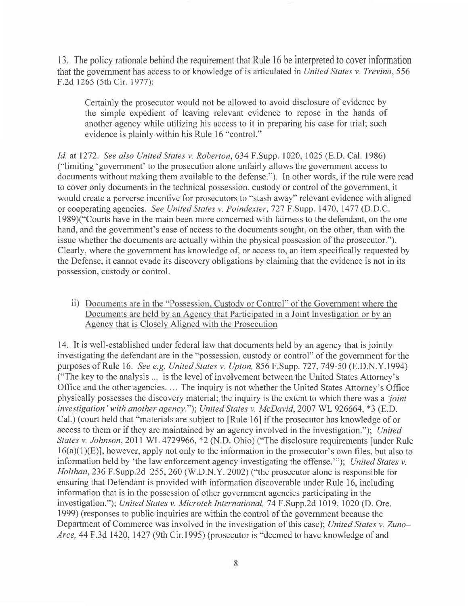13. The policy rationale behind the requirement that Rule l6 be interpreted to cover information that the government has access to or knowledge of is articulated in United States v. Trevino, 556 F.2d 1265 (5th Cir. 1977):

Certainly the prosecutor would not be allowed to avoid disclosure of evidence by the simple expedient of leaving relevant evidence to repose in the hands of another agency while utilizing his access to it in preparing his case for trial; such evidence is plainly within his Rule l6 "control."

Id. at 1272. See also United States v. Roberton, 634 F.Supp. 1020, 1025 (E.D. Cal. 1986) ("limiting 'government' to the prosecution alone unfairly allows the government access to documents without making them available to the defense."). In other words, if the rule were read to cover only documents in the technical possession, custody or control of the government, it would create a perverse incentive for prosecutors to "stash away" relevant evidence with aligned or cooperating agencies. See United States v. Poindexter, 727 F.Supp. 1470, 1477 (D.D.C. 1989)("Courts have in the main been more concerned with faimess to the defendant, on the one hand, and the government's ease of access to the documents sought, on the other, than with the issue whether the documents are actually within the physical possession of the prosecutor."). Clearly, where the government has knowledge of, or access to, an item specifically requested by the Defense, it cannot evade its discovery obligations by claiming that the evidence is not in its possession, custody or control.

ii) Documents are in the "Possession, Custody or Control" of the Government where the Documents are held by an Agency that Participated in a Joint Investigation or by an Agency that is Closely Aligned with the Prosecution

14. It is well-established under federal law that documents held by an agency that is jointly investigating the defendant are in the "possession, custody or control" of the government for the purposes of Rule 16. See e.g. United States v. Upton, 856 F.Supp. 727, 749-50 (E.D.N.Y.1994) ("The key to the analysis ... is the level of involvement between the United States Attorney's Office and the other agencies. ... The inquiry is not whether the United States Attorney's Office physically possesses the discovery material; the inquiry is the extent to which there was a 'joint' investigation' with another agency."); United States v. McDavid, 2007 WL 926664, \*3 (E.D. Cal.) (court held that "materials are subject to [Rule l6] if the prosecutor has knowledge of or access to them or if they are maintained by an agency involved in the investigation."); United States v. Johnson, 2011 WL 4729966, \*2 (N.D. Ohio) ("The disclosure requirements [under Rule  $16(a)(1)(E)$ ], however, apply not only to the information in the prosecutor's own files, but also to information held by 'the law enforcement agency investigating the offense.""); United States v. Holihan, 236 F.Supp.2d 255, 260 (W.D.N.Y. 2002) ("the prosecutor alone is responsible for ensuring that Defendant is provided with information discoverable under Rule 16, including information that is in the possession of other government agencies participating in the investigation."); United States v. Microtek International, T4 F.Supp.2d 1019, 1020 (D. Ore. 1999) (responses to public inquiries are within the control of the government because the Department of Commerce was involved in the investigation of this case); United States v. Zuno-Arce, 44 F.3d 1420, 1427 (9th Cir.1995) (prosecutor is "deemed to have knowledge of and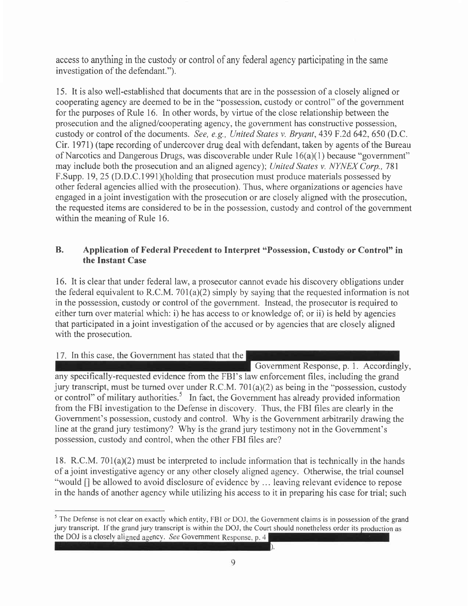access to anything in the custody or control of any federal agency participating in the same investigation of the defendant.").

15. It is also well-established that documents that are in the possession of a closely aligned or cooperating agency are deemed to be in the "possession, custody or control" of the government for the purposes of Rule 16. In other words, by virtue of the close relationship between the prosecution and the aligned/cooperating agency, the govemment has constructive possession, custody or control of the documents. See, e.g., United States v. Bryant, 439 F.2d 642, 650 (D.C. Cir. 1971) (tape recording of undercover drug deal with defendant, taken by agents of the Bureau of Narcotics and Dangerous Drugs, was discoverable under Rule 16(a)(l) because "government" may include both the prosecution and an aligned agency); United States v. NYNEX Corp., 781 F.Supp. 19,25 (D.D.C.1991)(holding that prosecution must produce materials possessed by other federal agencies allied with the prosecution). Thus, where organizations or agencies have engaged in a joint investigation with the prosecution or are closely aligned with the prosecution, the requested items are considered to be in the possession, custody and control of the government within the meaning of Rule 16.

## B. Application of Federal Precedent to Interpret "Possession, Custody or Control" in the Instant Case

16. It is clear that under federal law, a prosecutor cannot evade his discovery obligations under the federal equivalent to R.C.M. 701(a)(2) simply by saying that the requested information is not in the possession, custody or control of the government. Instead, the prosecutor is required to either turn over material which: i) he has access to or knowledge of; or ii) is held by agencies that participated in a joint investigation of the accused or by agencies that are closely aligned with the prosecution.

## 17. In this case, the Government has stated that the

Government Response, p. l. Accordingly, any specifically-requested evidence from the FBI's law enforcement files, including the grand jury transcript, must be turned over under R.C.M. 701(a)(2) as being in the "possession, custody or control" of military authorities.<sup>5</sup> In fact, the Government has already provided information from the FBI investigation to the Defense in discovery. Thus, the FBI files are clearly in the Govemment's possession, custody and control. Why is the Government arbitrarily drawing the line at the grand jury testimony? Why is the grand jury testimony not in the Government's possession, custody and control, when the other FBI files are?

18. R.C.M.701(a)(2) must be interpreted to include information that is technically in the hands of a joint investigative agency or any other closely aligned agency. Otherwise, the trial counsel "would [] be allowed to avoid disclosure of evidence by ... leaving relevant evidence to repose in the hands of another agency while utilizing his access to it in preparing his case for trial; such

 $\frac{5}{10}$  The Defense is not clear on exactly which entity, FBI or DOJ, the Government claims is in possession of the grand jury transcript. If the grand jury transcript is within the DOJ, the Court should nonetheless order its production as the DOJ is a closely aligned agency. See Government Response, p.  $4$ b.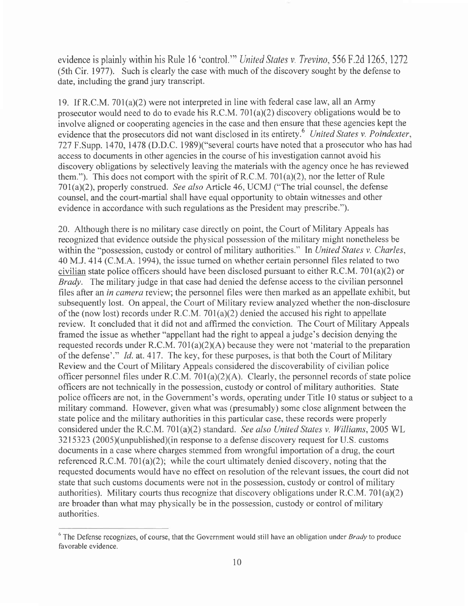evidence is plainly within his Rule 16 'control." United States v. Trevino, 556 F.2d 1265, 1272 (5th Cir. 1977). Such is clearly the case with much of the discovery sought by the defense to date, including the grand jury transcript.

19. If R.C.M. 701(a)(2) were not interpreted in line with federal case law, all an Army prosecutor would need to do to evade his R.C.M. 701(a)(2) discovery obligations would be to involve aligned or cooperating agencies in the case and then ensure that these agencies kept the evidence that the prosecutors did not want disclosed in its entirety.<sup>6</sup> United States v. Poindexter, 727 F.Supp. 1470,1478 (D.D.C. 1989)("several courts have noted that a prosecutor who has had access to documents in other agencies in the course of his investigation cannot avoid his discovery obligations by selectively leaving the materials with the agency once he has reviewed them."). This does not comport with the spirit of R.C.M. 701(a)(2), nor the letter of Rule 701(a)(2), properly construed. See also Article 46, UCMJ ("The trial counsel, the defense counsel, and the court-martial shall have equal opportunity to obtain witnesses and other evidence in accordance with such regulations as the President may prescribe.").

20. Although there is no military case directly on point, the Court of Military Appeals has recognized that evidence outside the physical possession of the military might nonetheless be within the "possession, custody or control of military authorities." In United States v. Charles, 40 M.J. 414 (C.M.A. 1994), the issue tumed on whether certain personnel files related to two civilian state police officers should have been disclosed pursuant to either R.C.M. 701(a)(2) or Brady. The military judge in that case had denied the defense access to the civilian personnel files after an in camera review; the personnel files were then marked as an appellate exhibit, but subsequently lost. On appeal, the Court of Military review analyzed whether the non-disclosure of the (now lost) records under R.C.M. 701(a)(2) denied the accused his right to appellate review. It concluded that it did not and affirmed the conviction. The Court of Military Appeals framed the issue as whether "appellant had the right to appeal a judge's decision denying the requested records under R.C.M.  $701(a)(2)(A)$  because they were not 'material to the preparation of the defense'." Id. at.4l7. The key, for these purposes, is that both the Court of Military Review and the Court of Military Appeals considered the discoverability of civilian police officer personnel files under R.C.M. 701(a)(2)(A). Clearly, the personnel records of state police officers are not technically in the possession, custody or control of military authorities. State police officers are not, in the Government's words, operating under Title l0 status or subject to <sup>a</sup> military command. However, given what was (presumably) some close alignment between the state police and the military authorities in this particular case, these records were properly considered under the R.C.M. 701(a)(2) standard. See also United States v. Williams, 2005 WL 3215323 (2005)(unpublished)(in response to a defense discovery request for U.S. customs documents in a case where charges stemmed from wrongful importation of a drug, the court referenced R.C.M. 70I(a)(2); while the court ultimately denied discovery, noting that the requested documents would have no effect on resolution of the relevant issues, the court did not state that such customs documents were not in the possession, custody or control of military authorities). Military courts thus recognize that discovery obligations under R.C.M. 701(a)(2) are broader than what may physically be in the possession, custody or control of military authorities.

 $6$  The Defense recognizes, of course, that the Government would still have an obligation under *Brady* to produce favorable evidence.